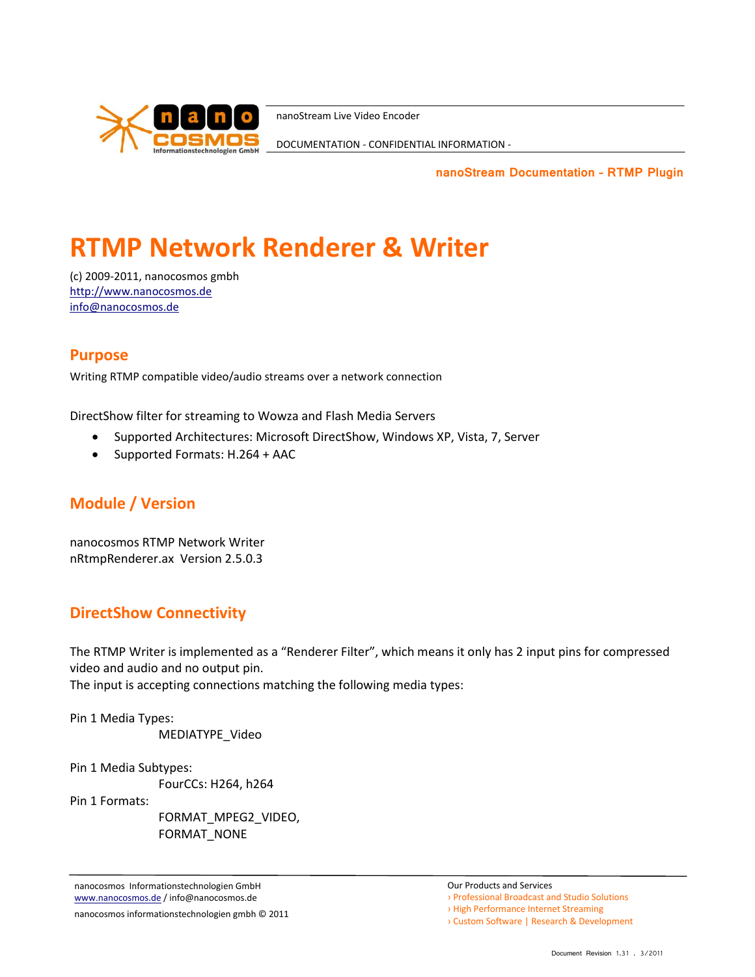

DOCUMENTATION - CONFIDENTIAL INFORMATION -

**nanoStream Documentation – RTMP Plugin**

# **RTMP Network Renderer & Writer**

(c) 2009-2011, nanocosmos gmbh [http://www.nanocosmos.de](http://www.nanocosmos.de/) [info@nanocosmos.de](mailto:info@nanocosmos.de)

#### **Purpose**

Writing RTMP compatible video/audio streams over a network connection

DirectShow filter for streaming to Wowza and Flash Media Servers

- Supported Architectures: Microsoft DirectShow, Windows XP, Vista, 7, Server
- Supported Formats: H.264 + AAC

### **Module / Version**

nanocosmos RTMP Network Writer nRtmpRenderer.ax Version 2.5.0.3

### **DirectShow Connectivity**

The RTMP Writer is implemented as a "Renderer Filter", which means it only has 2 input pins for compressed video and audio and no output pin.

The input is accepting connections matching the following media types:

Pin 1 Media Types:

MEDIATYPE\_Video

Pin 1 Media Subtypes:

FourCCs: H264, h264

Pin 1 Formats:

FORMAT\_MPEG2\_VIDEO, FORMAT\_NONE

nanocosmos Informationstechnologien GmbH www.nanocosmos.de / info@nanocosmos.de

nanocosmos informationstechnologien gmbh © 2011

- › Professional Broadcast and Studio Solutions
- › High Performance Internet Streaming
- › Custom Software | Research & Development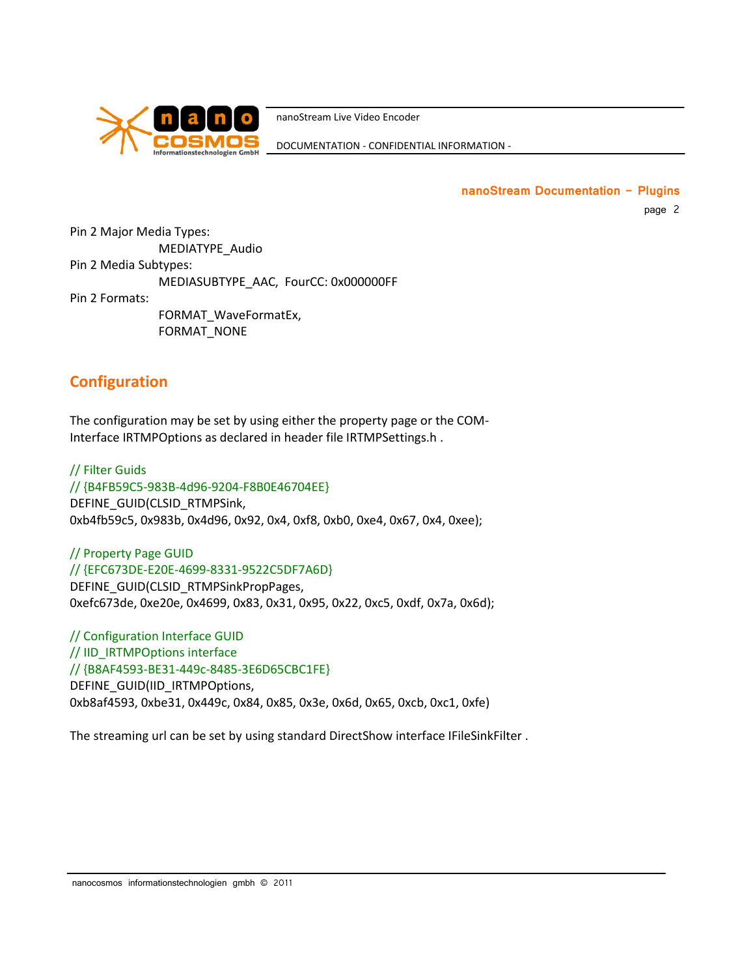

DOCUMENTATION - CONFIDENTIAL INFORMATION -

**nanoStream Documentation - Plugins**

page 2

Pin 2 Major Media Types: MEDIATYPE\_Audio Pin 2 Media Subtypes: MEDIASUBTYPE\_AAC, FourCC: 0x000000FF Pin 2 Formats:

FORMAT\_WaveFormatEx, FORMAT\_NONE

## **Configuration**

The configuration may be set by using either the property page or the COM-Interface IRTMPOptions as declared in header file IRTMPSettings.h .

// Filter Guids // {B4FB59C5-983B-4d96-9204-F8B0E46704EE} DEFINE\_GUID(CLSID\_RTMPSink, 0xb4fb59c5, 0x983b, 0x4d96, 0x92, 0x4, 0xf8, 0xb0, 0xe4, 0x67, 0x4, 0xee);

// Property Page GUID // {EFC673DE-E20E-4699-8331-9522C5DF7A6D} DEFINE\_GUID(CLSID\_RTMPSinkPropPages, 0xefc673de, 0xe20e, 0x4699, 0x83, 0x31, 0x95, 0x22, 0xc5, 0xdf, 0x7a, 0x6d);

// Configuration Interface GUID // IID\_IRTMPOptions interface // {B8AF4593-BE31-449c-8485-3E6D65CBC1FE} DEFINE\_GUID(IID\_IRTMPOptions, 0xb8af4593, 0xbe31, 0x449c, 0x84, 0x85, 0x3e, 0x6d, 0x65, 0xcb, 0xc1, 0xfe)

The streaming url can be set by using standard DirectShow interface IFileSinkFilter .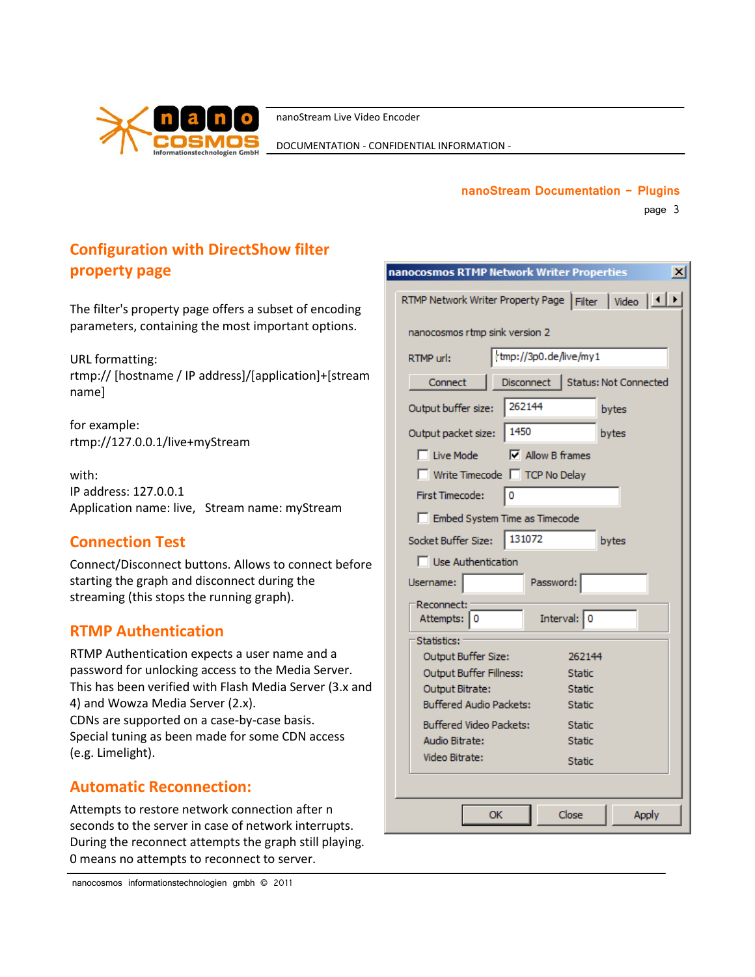

DOCUMENTATION - CONFIDENTIAL INFORMATION -

#### **nanoStream Documentation - Plugins**

page 3

# **Configuration with DirectShow filter property page**

The filter's property page offers a subset of encoding parameters, containing the most important options.

URL formatting: rtmp:// [hostname / IP address]/[application]+[stream name]

for example: rtmp://127.0.0.1/live+myStream

with: IP address: 127.0.0.1 Application name: live, Stream name: myStream

# **Connection Test**

Connect/Disconnect buttons. Allows to connect before starting the graph and disconnect during the streaming (this stops the running graph).

# **RTMP Authentication**

RTMP Authentication expects a user name and a password for unlocking access to the Media Server. This has been verified with Flash Media Server (3.x and 4) and Wowza Media Server (2.x). CDNs are supported on a case-by-case basis. Special tuning as been made for some CDN access (e.g. Limelight).

## **Automatic Reconnection:**

Attempts to restore network connection after n seconds to the server in case of network interrupts. During the reconnect attempts the graph still playing. 0 means no attempts to reconnect to server.

| nanocosmos RTMP Network Writer Properties<br>$\vert x \vert$ |  |  |  |  |  |  |  |
|--------------------------------------------------------------|--|--|--|--|--|--|--|
| RTMP Network Writer Property Page Filter   Video   1   1     |  |  |  |  |  |  |  |
| nanocosmos rtmp sink version 2                               |  |  |  |  |  |  |  |
| tmp://3p0.de/live/my1<br>RTMP url:                           |  |  |  |  |  |  |  |
| Disconnect   Status: Not Connected<br>Connect                |  |  |  |  |  |  |  |
| 262144<br>Output buffer size:<br>bytes                       |  |  |  |  |  |  |  |
| 1450<br>bytes<br>Output packet size:                         |  |  |  |  |  |  |  |
| $\nabla$ Allow B frames<br>□ Live Mode                       |  |  |  |  |  |  |  |
| Write Timecode   TCP No Delay                                |  |  |  |  |  |  |  |
| First Timecode:<br>0                                         |  |  |  |  |  |  |  |
| Embed System Time as Timecode                                |  |  |  |  |  |  |  |
| 131072<br>Socket Buffer Size:<br>bytes                       |  |  |  |  |  |  |  |
| <b>Use Authentication</b>                                    |  |  |  |  |  |  |  |
| Password:<br>Username:                                       |  |  |  |  |  |  |  |
| Reconnect:                                                   |  |  |  |  |  |  |  |
| Interval: 0<br>Attempts: 0                                   |  |  |  |  |  |  |  |
| Statistics:<br>Output Buffer Size:<br>262144                 |  |  |  |  |  |  |  |
| Output Buffer Fillness:<br>Static                            |  |  |  |  |  |  |  |
| Output Bitrate:<br><b>Static</b>                             |  |  |  |  |  |  |  |
| <b>Buffered Audio Packets:</b><br><b>Static</b>              |  |  |  |  |  |  |  |
| <b>Buffered Video Packets:</b><br><b>Static</b>              |  |  |  |  |  |  |  |
| Audio Bitrate:<br><b>Static</b>                              |  |  |  |  |  |  |  |
| Video Bitrate:<br><b>Static</b>                              |  |  |  |  |  |  |  |
|                                                              |  |  |  |  |  |  |  |
| <b>OK</b><br>Close<br>Apply                                  |  |  |  |  |  |  |  |
|                                                              |  |  |  |  |  |  |  |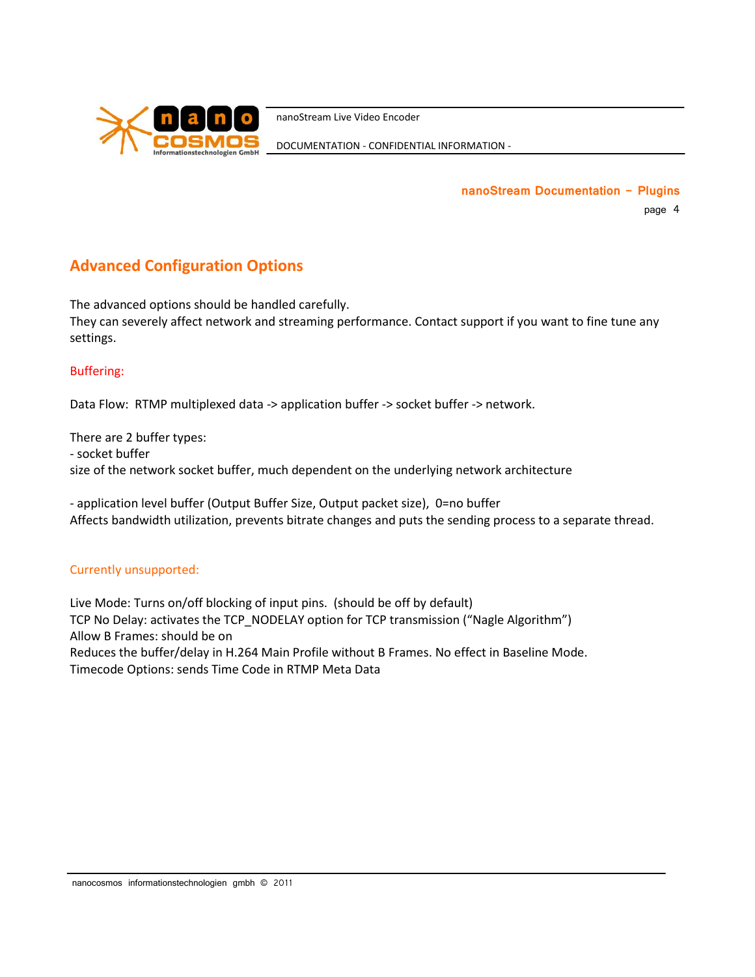

DOCUMENTATION - CONFIDENTIAL INFORMATION -

**nanoStream Documentation - Plugins** page 4

## **Advanced Configuration Options**

The advanced options should be handled carefully. They can severely affect network and streaming performance. Contact support if you want to fine tune any settings.

#### Buffering:

Data Flow: RTMP multiplexed data -> application buffer -> socket buffer -> network.

There are 2 buffer types: - socket buffer size of the network socket buffer, much dependent on the underlying network architecture

- application level buffer (Output Buffer Size, Output packet size), 0=no buffer Affects bandwidth utilization, prevents bitrate changes and puts the sending process to a separate thread.

#### Currently unsupported:

Live Mode: Turns on/off blocking of input pins. (should be off by default) TCP No Delay: activates the TCP\_NODELAY option for TCP transmission ("Nagle Algorithm") Allow B Frames: should be on Reduces the buffer/delay in H.264 Main Profile without B Frames. No effect in Baseline Mode. Timecode Options: sends Time Code in RTMP Meta Data